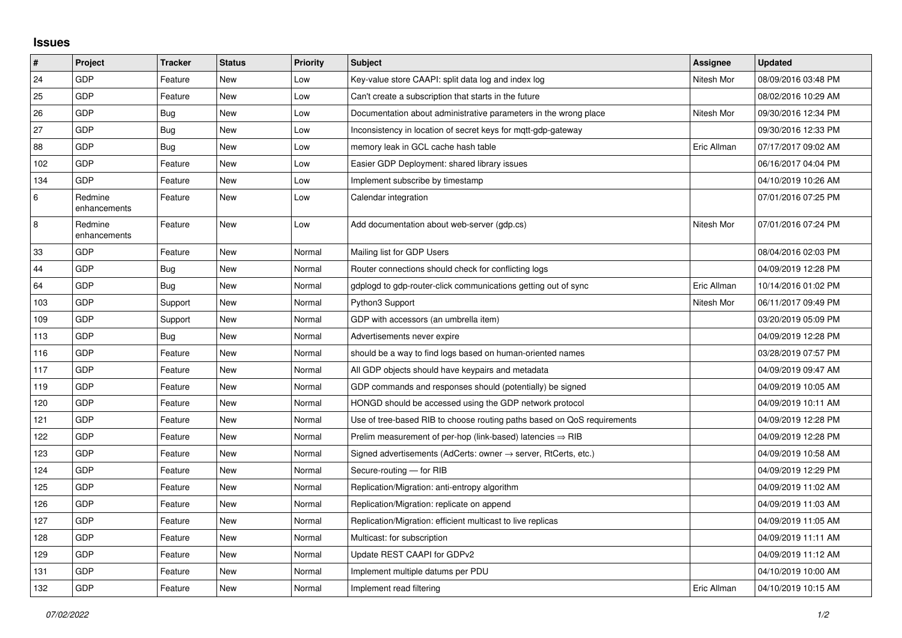## **Issues**

| #   | <b>Project</b>          | <b>Tracker</b> | <b>Status</b> | <b>Priority</b> | <b>Subject</b>                                                          | Assignee    | <b>Updated</b>      |
|-----|-------------------------|----------------|---------------|-----------------|-------------------------------------------------------------------------|-------------|---------------------|
| 24  | GDP                     | Feature        | New           | Low             | Key-value store CAAPI: split data log and index log                     | Nitesh Mor  | 08/09/2016 03:48 PM |
| 25  | GDP                     | Feature        | <b>New</b>    | Low             | Can't create a subscription that starts in the future                   |             | 08/02/2016 10:29 AM |
| 26  | GDP                     | Bug            | New           | Low             | Documentation about administrative parameters in the wrong place        | Nitesh Mor  | 09/30/2016 12:34 PM |
| 27  | GDP                     | <b>Bug</b>     | <b>New</b>    | Low             | Inconsistency in location of secret keys for mqtt-gdp-gateway           |             | 09/30/2016 12:33 PM |
| 88  | GDP                     | Bug            | <b>New</b>    | Low             | memory leak in GCL cache hash table                                     | Eric Allman | 07/17/2017 09:02 AM |
| 102 | GDP                     | Feature        | <b>New</b>    | Low             | Easier GDP Deployment: shared library issues                            |             | 06/16/2017 04:04 PM |
| 134 | GDP                     | Feature        | New           | Low             | Implement subscribe by timestamp                                        |             | 04/10/2019 10:26 AM |
| 6   | Redmine<br>enhancements | Feature        | New           | Low             | Calendar integration                                                    |             | 07/01/2016 07:25 PM |
| 8   | Redmine<br>enhancements | Feature        | <b>New</b>    | Low             | Add documentation about web-server (gdp.cs)                             | Nitesh Mor  | 07/01/2016 07:24 PM |
| 33  | GDP                     | Feature        | <b>New</b>    | Normal          | Mailing list for GDP Users                                              |             | 08/04/2016 02:03 PM |
| 44  | GDP                     | <b>Bug</b>     | <b>New</b>    | Normal          | Router connections should check for conflicting logs                    |             | 04/09/2019 12:28 PM |
| 64  | GDP                     | Bug            | <b>New</b>    | Normal          | gdplogd to gdp-router-click communications getting out of sync          | Eric Allman | 10/14/2016 01:02 PM |
| 103 | GDP                     | Support        | <b>New</b>    | Normal          | Python3 Support                                                         | Nitesh Mor  | 06/11/2017 09:49 PM |
| 109 | GDP                     | Support        | <b>New</b>    | Normal          | GDP with accessors (an umbrella item)                                   |             | 03/20/2019 05:09 PM |
| 113 | GDP                     | Bug            | New           | Normal          | Advertisements never expire                                             |             | 04/09/2019 12:28 PM |
| 116 | GDP                     | Feature        | <b>New</b>    | Normal          | should be a way to find logs based on human-oriented names              |             | 03/28/2019 07:57 PM |
| 117 | GDP                     | Feature        | <b>New</b>    | Normal          | All GDP objects should have keypairs and metadata                       |             | 04/09/2019 09:47 AM |
| 119 | GDP                     | Feature        | <b>New</b>    | Normal          | GDP commands and responses should (potentially) be signed               |             | 04/09/2019 10:05 AM |
| 120 | GDP                     | Feature        | New           | Normal          | HONGD should be accessed using the GDP network protocol                 |             | 04/09/2019 10:11 AM |
| 121 | GDP                     | Feature        | <b>New</b>    | Normal          | Use of tree-based RIB to choose routing paths based on QoS requirements |             | 04/09/2019 12:28 PM |
| 122 | GDP                     | Feature        | <b>New</b>    | Normal          | Prelim measurement of per-hop (link-based) latencies $\Rightarrow$ RIB  |             | 04/09/2019 12:28 PM |
| 123 | GDP                     | Feature        | New           | Normal          | Signed advertisements (AdCerts: owner → server, RtCerts, etc.)          |             | 04/09/2019 10:58 AM |
| 124 | GDP                     | Feature        | New           | Normal          | Secure-routing - for RIB                                                |             | 04/09/2019 12:29 PM |
| 125 | GDP                     | Feature        | <b>New</b>    | Normal          | Replication/Migration: anti-entropy algorithm                           |             | 04/09/2019 11:02 AM |
| 126 | GDP                     | Feature        | New           | Normal          | Replication/Migration: replicate on append                              |             | 04/09/2019 11:03 AM |
| 127 | GDP                     | Feature        | <b>New</b>    | Normal          | Replication/Migration: efficient multicast to live replicas             |             | 04/09/2019 11:05 AM |
| 128 | GDP                     | Feature        | <b>New</b>    | Normal          | Multicast: for subscription                                             |             | 04/09/2019 11:11 AM |
| 129 | GDP                     | Feature        | New           | Normal          | Update REST CAAPI for GDPv2                                             |             | 04/09/2019 11:12 AM |
| 131 | GDP                     | Feature        | New           | Normal          | Implement multiple datums per PDU                                       |             | 04/10/2019 10:00 AM |
| 132 | GDP                     | Feature        | <b>New</b>    | Normal          | Implement read filtering                                                | Eric Allman | 04/10/2019 10:15 AM |